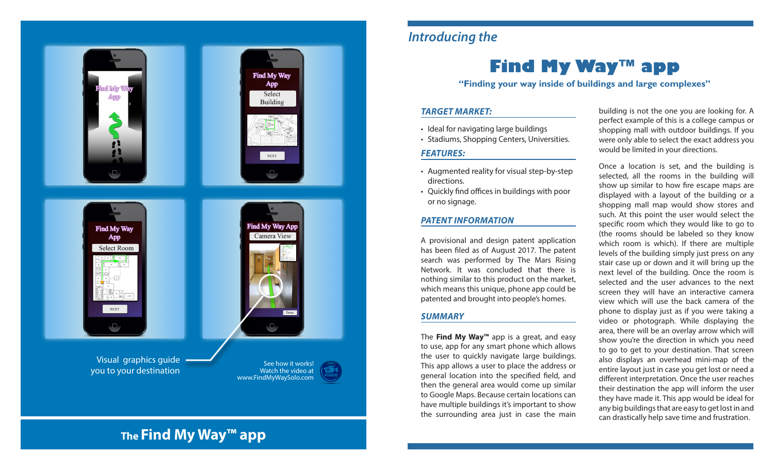

### *Introducing the*

# **Find My Way™ app**

**"Finding your way inside of buildings and large complexes"**

### *TARGET MARKET:*

- Ideal for navigating large buildings
- Stadiums, Shopping Centers, Universities.

### *FEATURES:*

- Augmented reality for visual step-by-step directions.
- Quickly find offices in buildings with poor or no signage.

### *PATENT INFORMATION*

A provisional and design patent application has been filed as of August 2017. The patent search was performed by The Mars Rising Network. It was concluded that there is nothing similar to this product on the market, which means this unique, phone app could be patented and brought into people's homes.

### *SUMMARY*

The **Find My Way™** app is a great, and easy to use, app for any smart phone which allows the user to quickly navigate large buildings. This app allows a user to place the address or general location into the specified field, and then the general area would come up similar to Google Maps. Because certain locations can have multiple buildings it's important to show the surrounding area just in case the main

building is not the one you are looking for. A perfect example of this is a college campus or shopping mall with outdoor buildings. If you were only able to select the exact address you would be limited in your directions.

Once a location is set, and the building is selected, all the rooms in the building will show up similar to how fire escape maps are displayed with a layout of the building or a shopping mall map would show stores and such. At this point the user would select the specific room which they would like to go to (the rooms should be labeled so they know which room is which). If there are multiple levels of the building simply just press on any stair case up or down and it will bring up the next level of the building. Once the room is selected and the user advances to the next screen they will have an interactive camera view which will use the back camera of the phone to display just as if you were taking a video or photograph. While displaying the area, there will be an overlay arrow which will show you're the direction in which you need to go to get to your destination. That screen also displays an overhead mini-map of the entire layout just in case you get lost or need a different interpretation. Once the user reaches their destination the app will inform the user they have made it. This app would be ideal for any big buildings that are easy to get lost in and can drastically help save time and frustration.

# **The Find My Way™ app**